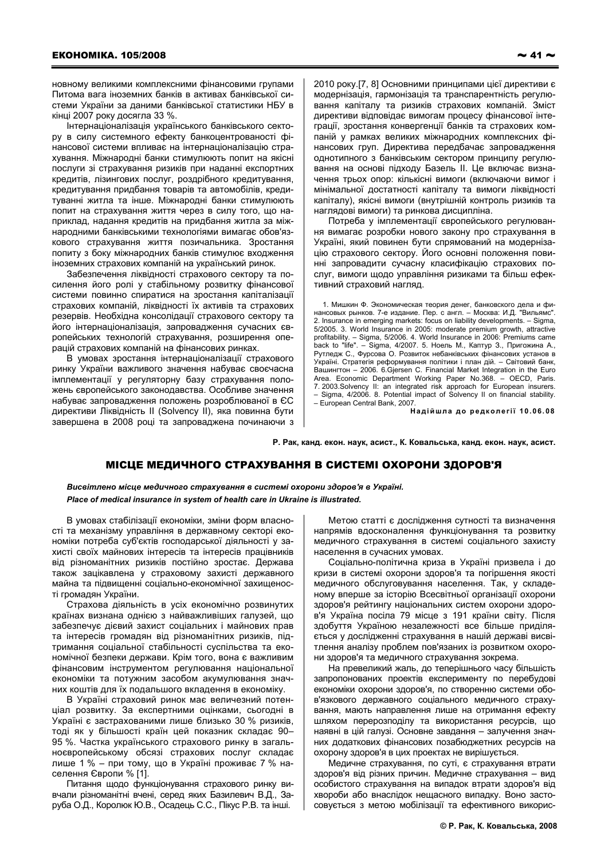новному великими комплексними фінансовими групами Питома вага іноземних банків в активах банківської системи України за даними банківської статистики НБУ в кінці 2007 року досягла 33 %.

Інтернаціоналізація українського банківського сектору в силу системного ефекту банкоцентрованості фінансової системи впливає на інтернаціоналізацію страхування. Міжнародні банки стимулюють попит на якісні послуги зі страхування ризиків при наданні експортних кредитів, лізингових послуг, роздрібного кредитування, кредитування придбання товарів та автомобілів, кредитуванні житла та інше. Міжнародні банки стимулюють попит на страхування життя через в силу того, що наприклад. надання кредитів на придбання житла за міжнародними банківськими технологіями вимагає обов'язкового страхування життя позичальника. Зростання попиту з боку міжнародних банків стимулює входження іноземних страхових компаній на український ринок.

Забезпечення ліквідності страхового сектору та посилення його ролі у стабільному розвитку фінансової системи повинно спиратися на зростання капіталізації страхових компаній, ліквідності їх активів та страхових резервів. Необхідна консолідації страхового сектору та його інтернаціоналізація, запровадження сучасних європейських технологій страхування, розширення операцій страхових компаній на фінансових ринках.

В умовах зростання інтернаціоналізації страхового ринку України важливого значення набуває своєчасна імплементації у регуляторну базу страхування положень європейського законодавства. Особливе значення набуває запровадження положень розроблюваної в ЄС директиви Ліквідність II (Solvency II), яка повинна бути завершена в 2008 році та запроваджена починаючи з 2010 року. [7, 8] Основними принципами цієї директиви є модернізація, гармонізація та транспарентність регулювання капіталу та ризиків страхових компаній. Зміст директиви відповідає вимогам процесу фінансової інтеграції, зростання конвергенції банків та страхових компаній у рамках великих міжнародних комплексних фінансових груп. Директива передбачає запровадження однотипного з банківським сектором принципу регулювання на основі підходу Базель II. Це включає визначення трьох опор: кількісні вимоги (включаючи вимог і мінімальної достатності капіталу та вимоги ліквідності капіталу), якісні вимоги (внутрішній контроль ризиків та наглядові вимоги) та ринкова дисципліна.

Потреба у імплементації європейського регулювання вимагає розробки нового закону про страхування в Україні, який повинен бути спрямований на модернізацію страхового сектору. Його основні положення повинні запровадити сучасну класифікацію страхових послуг, вимоги щодо управління ризиками та більш ефективний страховий нагляд.

1. Мишкин Ф. Экономическая теория денег, банковского дела и финансовых рынков. 7-е издание. Пер. с англ. - Москва: И.Д. "Вильямс". 2. Insurance in emerging markets: focus on liability developments. - Sigma, 5/2005. 3. World Insurance in 2005: moderate premium growth, attractive profitability. - Sigma, 5/2006. 4. World Insurance in 2006: Premiums came<br>back to "life". - Sigma, 4/2007. 5. Ноель М., Каптур 3., Пригожина А., Рутледж С., Фурсова О. Розвиток небанківських фінансових установ в Україні. Стратегія реформування політики і план дій. - Світовий банк,<br>Вашингтон - 2006. 6. Gjersen C. Financial Market Integration in the Euro Area. Economic Department Working Paper No.368. - OECD, Paris. 7. 2003. Solvency II: an integrated risk approach for European insurers. - Sigma, 4/2006. 8. Potential impact of Solvency II on financial stability. - European Central Bank, 2007.

Надійшла до редколегії 10.06.08

Р. Рак, канд. екон. наук, асист., К. Ковальська, канд. екон. наук, асист.

## МІСЦЕ МЕДИЧНОГО СТРАХУВАННЯ В СИСТЕМІ ОХОРОНИ ЗДОРОВ'Я

Висвітлено місце медичного страхування в системі охорони здоров'я в Україні. Place of medical insurance in system of health care in Ukraine is illustrated.

В умовах стабілізації економіки, зміни форм власності та механізму управління в державному секторі економіки потреба суб'єктів господарської діяльності у захисті своїх майнових інтересів та інтересів працівників від різноманітних ризиків постійно зростає. Держава також зацікавлена у страховому захисті державного майна та підвищенні соціально-економічної захищеності громадян України.

Страхова діяльність в усіх економічно розвинутих країнах визнана однією з найважливіших галузей, що забезпечує дієвий захист соціальних і майнових прав та інтересів громадян від різноманітних ризиків, підтримання соціальної стабільності суспільства та економічної безпеки держави. Крім того, вона є важливим фінансовим інструментом регулювання національної економіки та потужним засобом акумулювання значних коштів для їх подальшого вкладення в економіку.

В Україні страховий ринок має величезний потенціал розвитку. За експертними оцінками, сьогодні в Україні є застрахованими лише близько 30 % ризиків, тоді як у більшості країн цей показник складає 90-95 %. Частка українського страхового ринку в загальноєвропейському обсязі страхових послуг складає лише 1 % - при тому, що в Україні проживає 7 % населення Європи % [1].

Питання щодо функціонування страхового ринку вивчали різноманітні вчені, серед яких Базилевич В.Д., Заруба О.Д., Королюк Ю.В., Осадець С.С., Пікус Р.В. та інші.

Метою статті є дослідження сутності та визначення напрямів вдосконалення функціонування та розвитку медичного страхування в системі соціального захисту населення в сучасних умовах.

Соціально-політична криза в Україні призвела і до кризи в системі охорони здоров'я та погіршення якості медичного обслуговування населення. Так, у складеному вперше за історію Всесвітньої організації охорони здоров'я рейтингу національних систем охорони здоров'я Україна посіла 79 місце з 191 країни світу. Після здобуття Україною незалежності все більше приділяється у дослідженні страхування в нашій державі висвітлення аналізу проблем пов'язаних із розвитком охорони здоров'я та медичного страхування зокрема.

На превеликий жаль, до теперішнього часу більшість запропонованих проектів експерименту по перебудові економіки охорони здоров'я, по створенню системи обов'язкового державного соціального медичного страхування, мають направлення лише на отримання ефекту шляхом перерозподілу та використання ресурсів, що наявні в цій галузі. Основне завдання - залучення значних додаткових фінансових позабюджетних ресурсів на охорону здоров'я в цих проектах не вирішується.

Медичне страхування, по суті, є страхування втрати здоров'я від різних причин. Медичне страхування - вид особистого страхування на випадок втрати здоров'я від хвороби або внаслідок нещасного випадку. Воно застосовується з метою мобілізації та ефективного викорис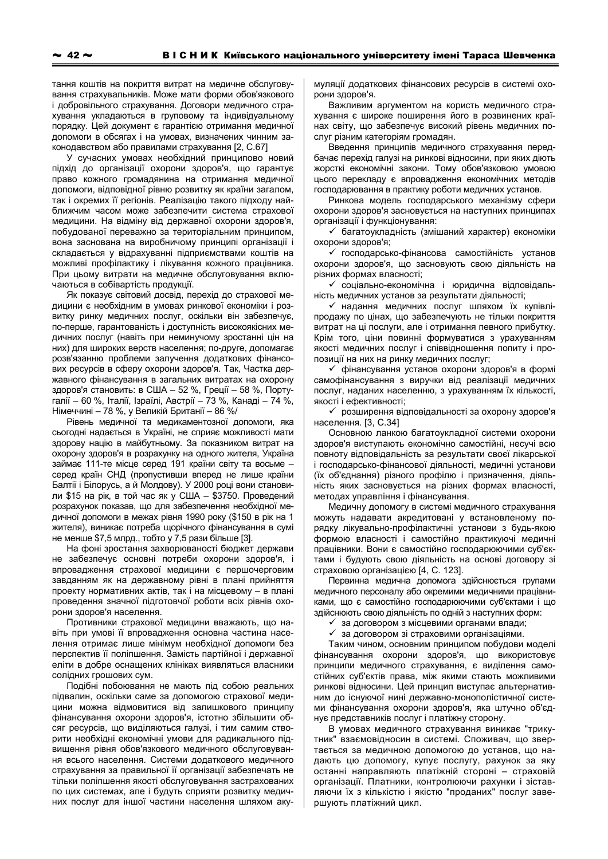тання коштів на покриття витрат на медичне обслуговування страхувальників. Може мати форми обов'язкового і добровільного страхування. Договори медичного страхування укладаються в груповому та індивідуальному порядку. Цей документ є гарантією отримання медичної допомоги в обсягах і на умовах, визначених чинним законодавством або правилами страхування [2, С.67]

У сучасних умовах необхідний принципово новий підхід до організації охорони здоров'я, що гарантує право кожного громадянина на отримання медичної допомоги, відповідної рівню розвитку як країни загалом, так і окремих її регіонів. Реалізацію такого підходу найближчим часом може забезпечити система страхової медицини. На відміну від державної охорони здоров'я. побудованої переважно за територіальним принципом, вона заснована на виробничому принципі організації і складається у відрахуванні підприємствами коштів на можливі профілактику і лікування кожного працівника. При цьому витрати на медичне обслуговування включаються в собівартість продукції.

Як показує світовий досвід, перехід до страхової медицини є необхідним в умовах ринкової економіки і розвитку ринку медичних послуг, оскільки він забезпечує, по-перше, гарантованість і доступність високоякісних медичних послуг (навіть при неминучому зростанні цін на них) для широких верств населення; по-друге, допомагає розв'язанню проблеми залучення додаткових фінансових ресурсів в сферу охорони здоров'я. Так, Частка державного фінансування в загальних витратах на охорону здоров'я становить: в США - 52 %, Греції - 58 %, Португалії – 60 %, Італії, Ізраїлі, Австрії – 73 %, Канаді – 74 %, Німеччині - 78 %, у Великій Британії - 86 %/

Рівень медичної та медикаментозної допомоги, яка сьогодні надається в Україні, не сприяє можливості мати здорову націю в майбутньому. За показником витрат на охорону здоров'я в розрахунку на одного жителя, Україна займає 111-те місце серед 191 країни світу та восьме серед країн СНД (пропустивши вперед не лише країни Балтії і Білорусь, а й Молдову). У 2000 році вони становили \$15 на рік, в той час як у США - \$3750. Проведений розрахунок показав, що для забезпечення необхідної медичної допомоги в межах рівня 1990 року (\$150 в рік на 1 жителя), виникає потреба щорічного фінансування в сумі не менше \$7,5 млрд., тобто у 7,5 рази більше [3].

На фоні зростання захворюваності бюджет держави не забезпечує основні потреби охорони здоров'я, і впровадження страхової медицини є першочерговим завданням як на державному рівні в плані прийняття проекту нормативних актів, так і на місцевому - в плані проведення значної підготовчої роботи всіх рівнів охорони здоров'я населення.

Противники страхової медицини вважають, що навіть при умові її впровадження основна частина населення отримає лише мінімум необхідної допомоги без перспектив її поліпшення. Замість партійної і державної еліти в добре оснащених клініках виявляться власники солідних грошових сум.

Подібні побоювання не мають під собою реальних підвалин, оскільки саме за допомогою страхової медицини можна відмовитися від залишкового принципу фінансування охорони здоров'я, істотно збільшити обсяг ресурсів, що виділяються галузі, і тим самим створити необхідні економічні умови для радикального підвищення рівня обов'язкового медичного обслуговування всього населення. Системи додаткового медичного страхування за правильної її організації забезпечать не тільки поліпшення якості обслуговування застрахованих по цих системах, але і будуть сприяти розвитку медичних послуг для іншої частини населення шляхом акумуляції додаткових фінансових ресурсів в системі охорони здоров'я.

Важливим аргументом на користь медичного страхування є широке поширення його в розвинених країнах світу, що забезпечує високий рівень медичних послуг різним категоріям громадян.

Введення принципів медичного страхування передбачає перехід галузі на ринкові відносини, при яких діють жорсткі економічні закони. Тому обов'язковою умовою цього перекладу є впровадження економічних методів господарювання в практику роботи медичних установ.

Ринкова модель господарського механізму сфери охорони здоров'я засновується на наступних принципах організації і функціонування:

√ багатоукладність (змішаний характер) економіки охорони здоров'я;

√ господарсько-фінансова самостійність установ охорони здоров'я, що засновують свою діяльність на різних формах власності;

√ соціально-економічна і юридична відповідальність медичних установ за результати діяльності;

√ надання медичних послуг шляхом їх купівліпродажу по цінах, що забезпечують не тільки покриття витрат на ці послуги, але і отримання певного прибутку. Крім того, ціни повинні формуватися з урахуванням якості медичних послуг і співвідношення попиту і пропозиції на них на ринку медичних послуг;

√ фінансування установ охорони здоров'я в формі самофінансування з виручки від реалізації медичних послуг, наданих населенню, з урахуванням їх кількості, якості і ефективності:

√ розширення відповідальності за охорону здоров'я населення. [3, С.34]

Основною ланкою багатоукладної системи охорони здоров'я виступають економічно самостійні, несучі всю повноту відповідальність за результати своєї лікарської і господарсько-фінансової діяльності, медичні установи (їх об'єднання) різного профілю і призначення, діяльність яких засновується на різних формах власності, методах управління і фінансування.

Медичну допомогу в системі медичного страхування можуть надавати акредитовані у встановленому порядку лікувально-профілактичні установи з будь-якою формою власності і самостійно практикуючі медичні працівники. Вони є самостійно господарюючими суб'єктами і будують свою діяльність на основі договору зі страховою організацією [4, С. 123].

Первинна медична допомога здійснюється групами медичного персоналу або окремими медичними працівниками, що є самостійно господарюючими суб'єктами і шо здійснюють свою діяльність по одній з наступних форм:

√ за договором з місцевими органами влади;

√ за договором зі страховими організаціями.

Таким чином, основним принципом побудови моделі фінансування охорони здоров'я, що використовує принципи медичного страхування, є виділення самостійних суб'єктів права, між якими стають можливими ринкові відносини. Цей принцип виступає альтернативним до існуючої нині державно-монополістичної системи фінансування охорони здоров'я, яка штучно об'єднує представників послуг і платіжну сторону.

В умовах медичного страхування виникає "трикутник" взаємовідносин в системі. Споживач, що звертається за медичною допомогою до установ, що надають цю допомогу, купує послугу, рахунок за яку останні направляють платіжній стороні - страховій організації. Платники, контролюючи рахунки і зіставляючи їх з кількістю і якістю "проданих" послуг завершують платіжний цикл.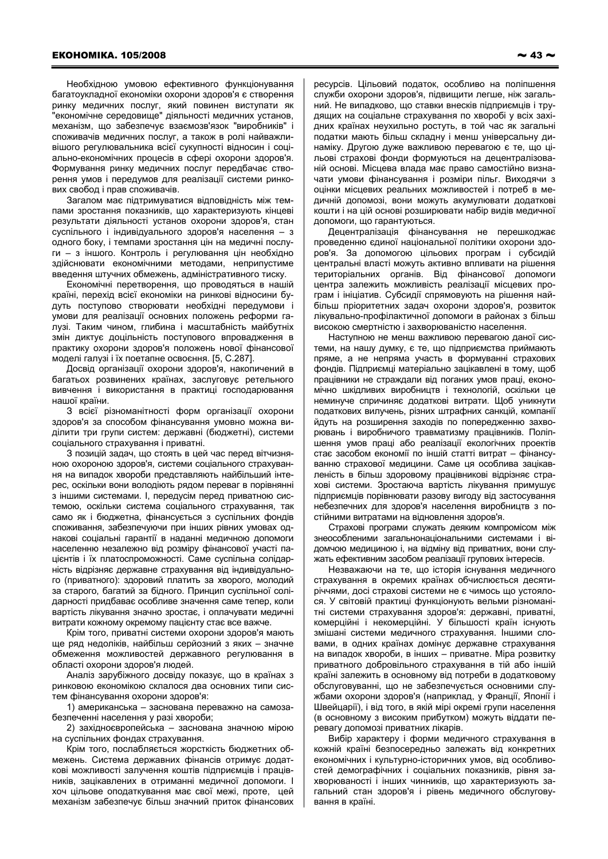Необхідною умовою ефективного функціонування багатоукладної економіки охорони здоров'я є створення ринку медичних послуг, який повинен виступати як "економічне середовище" діяльності медичних установ, механізм, що забезпечує взаємозв'язок "виробників" і споживачів медичних послуг, а також в ролі найважливішого регулювальника всієї сукупності відносин і соціально-економічних процесів в сфері охорони здоров'я. Формування ринку медичних послуг передбачає створення умов і передумов для реалізації системи ринкових свобод і прав споживачів.

Загалом має підтримуватися відповідність між темпами зростання показників, що характеризують кінцеві результати діяльності установ охорони здоров'я, стан суспільного і індивідуального здоров'я населення - з одного боку, і темпами зростання цін на медичні послуги - з іншого. Контроль і регулювання цін необхідно здійснювати економічними методами, неприпустиме введення штучних обмежень, адміністративного тиску.

Економічні перетворення, що проводяться в нашій країні, перехід всієї економіки на ринкові відносини будуть поступово створювати необхідні передумови і умови для реалізації основних положень реформи галузі. Таким чином. глибина і масштабність майбутніх змін диктує доцільність поступового впровадження в практику охорони здоров'я положень нової фінансової моделі галузі і їх поетапне освоєння. [5, С.287].

Досвід організації охорони здоров'я, накопичений в багатьох розвинених країнах, заслуговує ретельного вивчення і використання в практиці господарювання нашої країни.

3 всієї різноманітності форм організації охорони здоров'я за способом фінансування умовно можна виділити три групи систем: державні (бюджетні), системи соціального страхування і приватні.

3 позицій задач, що стоять в цей час перед вітчизняною охороною здоров'я, системи соціального страхування на випадок хвороби представляють найбільший інтерес, оскільки вони володіють рядом переваг в порівнянні з іншими системами. І, передусім перед приватною системою, оскільки система соціального страхування, так само як і бюджетна, фінансується з суспільних фондів споживання, забезпечуючи при інших рівних умовах однакові соціальні гарантії в наданні медичною допомоги населенню незалежно від розміру фінансової участі пацієнтів і їх платоспроможності. Саме суспільна солідарність відрізняє державне страхування від індивідуального (приватного): здоровий платить за хворого, молодий за старого, багатий за бідного. Принцип суспільної солідарності придбаває особливе значення саме тепер, коли вартість лікування значно зростає, і оплачувати медичні витрати кожному окремому пацієнту стає все важче.

Крім того, приватні системи охорони здоров'я мають ще ряд недоліків, найбільш серйозний з яких - значне обмеження можливостей державного регулювання в області охорони здоров'я людей.

Аналіз зарубіжного досвіду показує, що в країнах з ринковою економікою склалося два основних типи систем фінансування охорони здоров'я:

1) американська - заснована переважно на самозабезпеченні населення у разі хвороби;

2) західноєвропейська - заснована значною мірою на суспільних фондах страхування.

Крім того, послабляється жорсткість бюджетних обмежень. Система державних фінансів отримує додаткові можливості залучення коштів підприємців і працівників, зацікавлених в отриманні медичної допомоги. І хоч цільове оподаткування має свої межі, проте, цей механізм забезпечує більш значний приток фінансових

ресурсів. Цільовий податок, особливо на поліпшення служби охорони здоров'я, підвищити легше, ніж загальний. Не випадково, що ставки внесків підприємців і трудящих на соціальне страхування по хворобі у всіх західних країнах неухильно ростуть, в той час як загальні податки мають більш складну і менш універсальну динаміку. Другою дуже важливою перевагою є те, що цільові страхові фонди формуються на децентралізованій основі. Місцева влада має право самостійно визначати умови фінансування і розміри пільг. Виходячи з оцінки місцевих реальних можливостей і потреб в медичній допомозі, вони можуть акумулювати додаткові кошти і на цій основі розширювати набір видів медичної допомоги, що гарантуються.

Децентралізація фінансування не перешкоджає проведенню єдиної національної політики охорони здоров'я. За допомогою цільових програм і субсидій центральні власті можуть активно впливати на рішення територіальних органів. Від фінансової допомоги центра залежить можливість реалізації місцевих програм і ініціатив. Субсидії спрямовують на рішення найбільш пріоритетних задач охорони здоров'я, розвиток лікувально-профілактичної допомоги в районах з більш високою смертністю і захворюваністю населення.

Наступною не менш важливою перевагою даної системи, на нашу думку, є те, що підприємства приймають пряме, а не непряма участь в формуванні страхових фондів. Підприємці матеріально зацікавлені в тому, щоб працівники не страждали від поганих умов праці, економічно шкідливих виробництв і технологій, оскільки це неминуче спричиняє додаткові витрати. Щоб уникнути податкових вилучень, різних штрафних санкцій, компанії йдуть на розширення заходів по попередженню захворювань і виробничого травматизму працівників. Поліпшення умов праці або реалізації екологічних проектів стає засобом економії по іншій статті витрат - фінансуванню страхової медицини. Саме ця особлива зацікавленість в більш здоровому працівникові відрізняє страхові системи. Зростаюча вартість лікування примушує підприємців порівнювати разову вигоду від застосування небезпечних для здоров'я населення виробництв з постійними витратами на відновлення здоров'я.

Страхові програми служать деяким компромісом між знеособленими загальнонаціональними системами і відомчою медициною і, на відміну від приватних, вони служать ефективним засобом реалізації групових інтересів.

Незважаючи на те, що історія існування медичного страхування в окремих країнах обчислюється десятиріччями, досі страхові системи не є чимось що устоялося. У світовій практиці функціонують вельми різноманітні системи страхування здоров'я: державні, приватні, комерційні і некомерційні. У більшості країн існують змішані системи медичного страхування. Іншими словами, в одних країнах домінує державне страхування на випадок хвороби, в інших - приватне. Міра розвитку приватного добровільного страхування в тій або іншій країні залежить в основному від потреби в додатковому обслуговуванні, що не забезпечується основними службами охорони здоров'я (наприклад, у Франції, Японії і Швейцарії), і від того, в якій мірі окремі групи населення (в основному з високим прибутком) можуть віддати перевагу допомозі приватних лікарів.

Вибір характеру і форми медичного страхування в кожній країні безпосередньо залежать від конкретних економічних і культурно-історичних умов, від особливостей демографічних і соціальних показників, рівня захворюваності і інших чинників, що характеризують загальний стан здоров'я і рівень медичного обслуговування в країні.